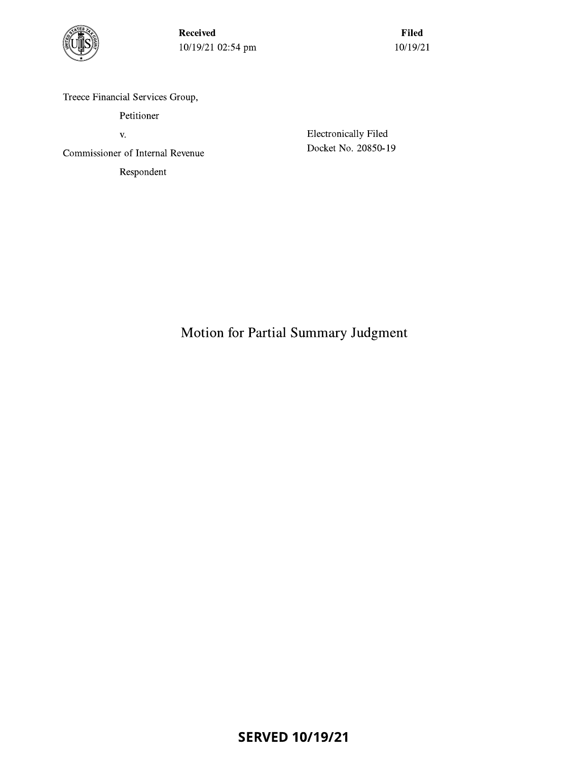

**Received** 10/19/21 02:54 pm

**Filed**  $10/19/21$ 

Treece Financial Services Group,

Petitioner

V.

Commissioner of Internal Revenue

Respondent

**Electronically Filed** Docket No. 20850-19

Motion for Partial Summary Judgment

**SERVED 10/19/21**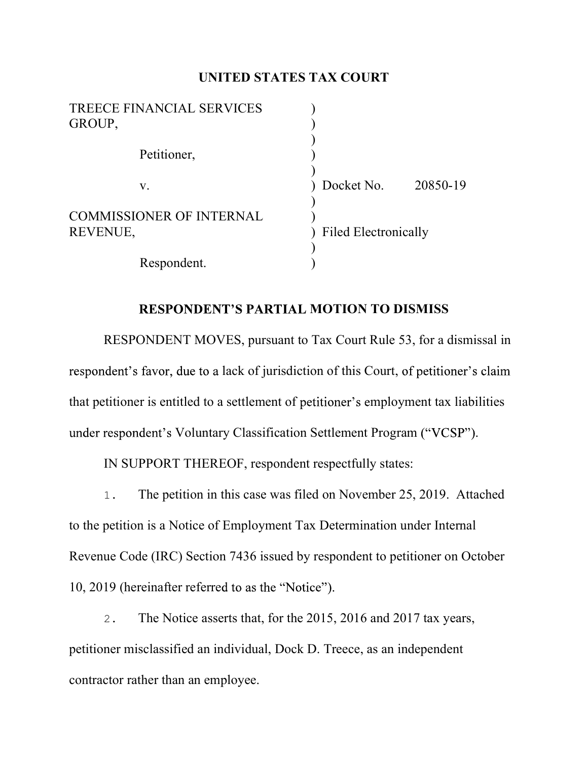## UNITED STATES TAX COURT

| <b>TREECE FINANCIAL SERVICES</b><br>GROUP,  |                             |
|---------------------------------------------|-----------------------------|
| Petitioner,                                 |                             |
| V.                                          | Docket No.<br>20850-19      |
| <b>COMMISSIONER OF INTERNAL</b><br>REVENUE, | <b>Filed Electronically</b> |
| Respondent.                                 |                             |

## RESPONDENT'S PARTIAL MOTION TO DISMISS

RESPONDENT MOVES, pursuant to Tax Court Rule 53, for a dismissal in respondent's favor, due to a lack of jurisdiction of this Court, of petitioner's claim that petitioner is entitled to a settlement of petitioner's employment tax liabilities under respondent's Voluntary Classification Settlement Program ("VCSP").

IN SUPPORT THEREOF, respondent respectfully states:

1. The petition in this case was filed on November 25, 2019. Attached to the petition is a Notice of Employment Tax Determination under Internal Revenue Code (IRC) Section 7436 issued by respondent to petitioner on October 10, 2019 (hereinafter referred to as the "Notice").

2. The Notice asserts that, for the 2015, 2016 and 2017 tax years, petitioner misclassified an individual, Dock D. Treece, as an independent contractor rather than an employee.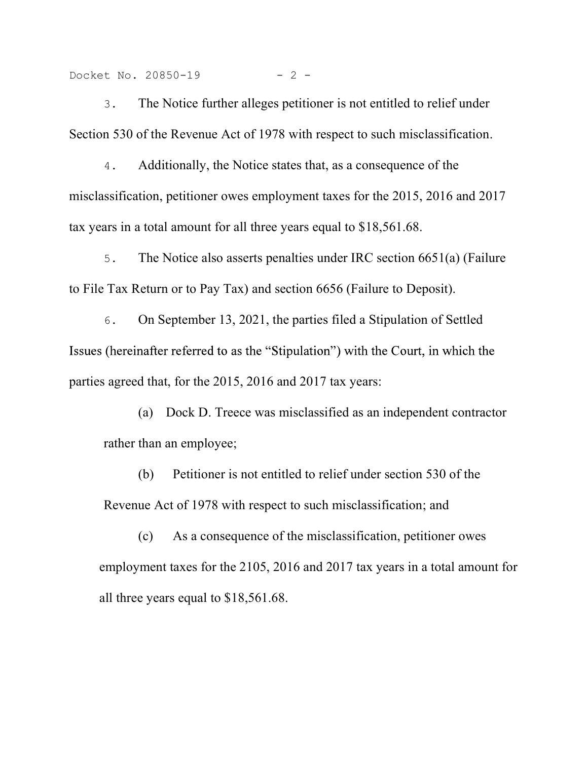Docket No. 20850-19 - 2 -

3. The Notice further alleges petitioner is not entitled to relief under Section 530 of the Revenue Act of 1978 with respect to such misclassification.

4. Additionally, the Notice states that, as a consequence of the misclassification, petitioner owes employment taxes for the 2015, 2016 and 2017 tax years in a total amount for all three years equal to \$18,561.68.

5. The Notice also asserts penalties under IRC section 6651(a) (Failure to File Tax Return or to Pay Tax) and section 6656 (Failure to Deposit).

6. On September 13, 2021, the parties filed a Stipulation of Settled Issues (hereinafter referred to as the "Stipulation") with the Court, in which the parties agreed that, for the 2015, 2016 and 2017 tax years:

(a) Dock D. Treece was misclassified as an independent contractor rather than an employee;

(b) Petitioner is not entitled to relief under section 530 of the Revenue Act of 1978 with respect to such misclassification; and

(c) As a consequence of the misclassification, petitioner owes employment taxes for the 2105, 2016 and 2017 tax years in a total amount for all three years equal to \$18,561.68.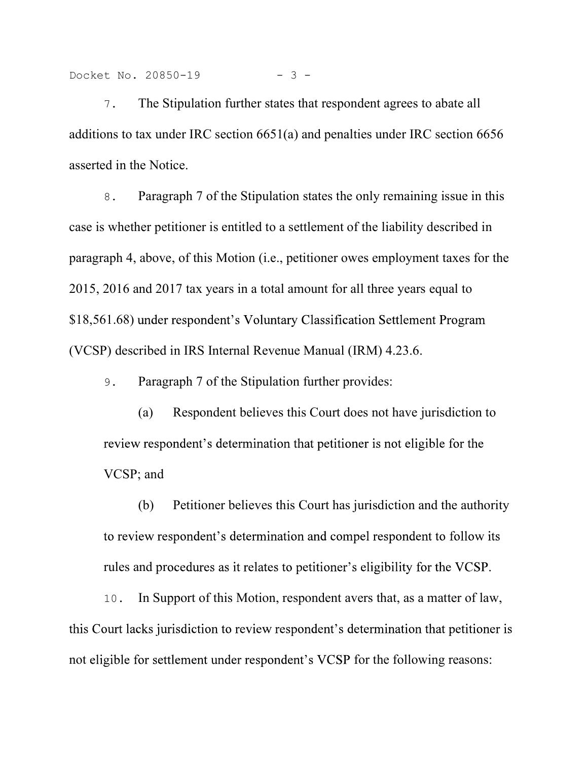Docket No. 20850-19 - 3 -

 $\frac{1}{2}$  The Stipulation further states that respondent agrees to abate all<br>
the Stipulation further states that respondent agrees to abate all<br>
the Notice States in the Notice. additions to tax under IRC section 6651(a) and penalties under IRC section 6656 asserted in the Notice.

8. Paragraph 7 of the Stipulation states the only remaining issue in this case is whether petitioner is entitled to a settlement of the liability described in paragraph 4, above, of this Motion (i.e., petitioner owes employment taxes for the 2015, 2016 and 2017 tax years in a total amount for all three years equal to \$18,561.68) under respondent's Voluntary Classification Settlement Program (VCSP) described in IRS Internal Revenue Manual (IRM) 4.23.6.

9. Paragraph 7 of the Stipulation further provides:

(a) Respondent believes this Court does not have jurisdiction to review respondent's determination that petitioner is not eligible for the VCSP; and

(b) Petitioner believes this Court has jurisdiction and the authority to review respondent's determination and compel respondent to follow its rules and procedures as it relates to petitioner's eligibility for the VCSP.

10. In Support of this Motion, respondent avers that, as a matter of law, this Court lacks jurisdiction to review respondent's determination that petitioner is not eligible for settlement under respondent's VCSP for the following reasons: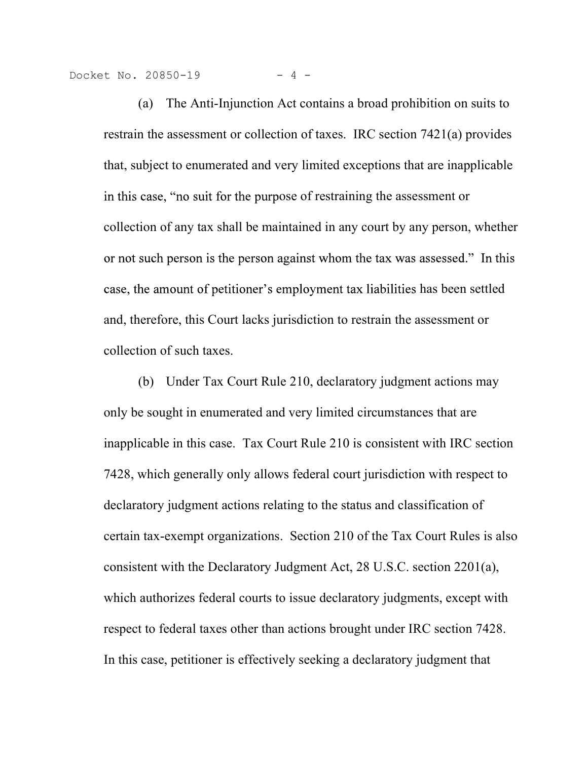Docket No. 20850-19 - 4 -

 $20850-19$  - 4 -<br>
(a) The Anti-Injunction Act contains a broad prohibition on suits to<br>
in the assessment or collection of taxes. IRC section 7421(a) provides<br>
ubject to enumerated and very limited exceptions that are ina restrain the assessment or collection of taxes. IRC section 7421(a) provides that, subject to enumerated and very limited exceptions that are inapplicable in this case, "no suit for the purpose of restraining the assessment or collection of any tax shall be maintained in any court by any person, whether or not such person is the person against whom the tax was assessed." In this case, the amount of petitioner's employment tax liabilities has been settled and, therefore, this Court lacks jurisdiction to restrain the assessment or collection of such taxes.

(b) Under Tax Court Rule 210, declaratory judgment actions may only be sought in enumerated and very limited circumstances that are inapplicable in this case. Tax Court Rule 210 is consistent with IRC section 7428, which generally only allows federal court jurisdiction with respect to declaratory judgment actions relating to the status and classification of certain tax-exempt organizations. Section 210 of the Tax Court Rules is also consistent with the Declaratory Judgment Act, 28 U.S.C. section 2201(a), which authorizes federal courts to issue declaratory judgments, except with respect to federal taxes other than actions brought under IRC section 7428. In this case, petitioner is effectively seeking a declaratory judgment that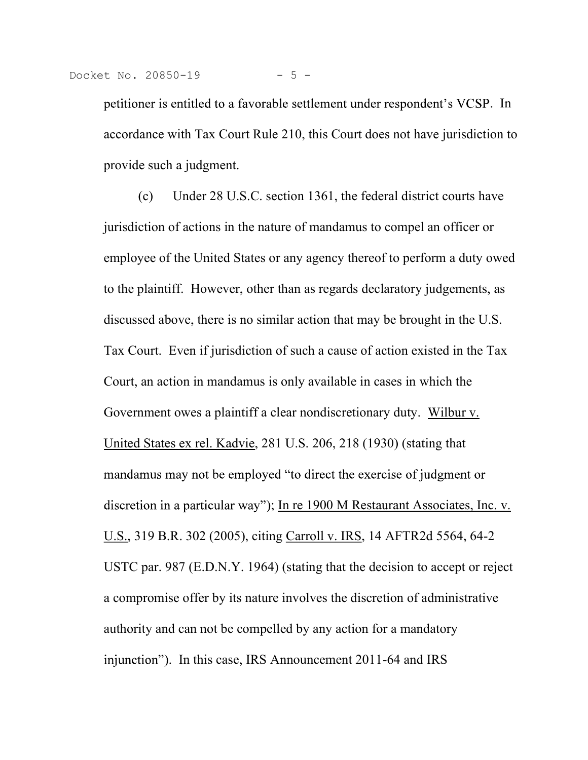petitioner is entitled to a favorable settlement under respondent's VCSP. In accordance with Tax Court Rule 210, this Court does not have jurisdiction to provide such a judgment.

(c) Under 28 U.S.C. section 1361, the federal district courts have jurisdiction of actions in the nature of mandamus to compel an officer or employee of the United States or any agency thereof to perform a duty owed to the plaintiff. However, other than as regards declaratory judgements, as discussed above, there is no similar action that may be brought in the U.S. Tax Court. Even if jurisdiction of such a cause of action existed in the Tax Court, an action in mandamus is only available in cases in which the Government owes a plaintiff a clear nondiscretionary duty. Wilbur v. United States ex rel. Kadvie, 281 U.S. 206, 218 (1930) (stating that mandamus may not be employed "to direct the exercise of judgment or discretion in a particular way"); In re 1900 M Restaurant Associates, Inc. v. U.S., 319 B.R. 302 (2005), citing Carroll v. IRS, 14 AFTR2d 5564, 64-2 USTC par. 987 (E.D.N.Y. 1964) (stating that the decision to accept or reject a compromise offer by its nature involves the discretion of administrative authority and can not be compelled by any action for a mandatory injunction"). In this case, IRS Announcement 2011-64 and IRS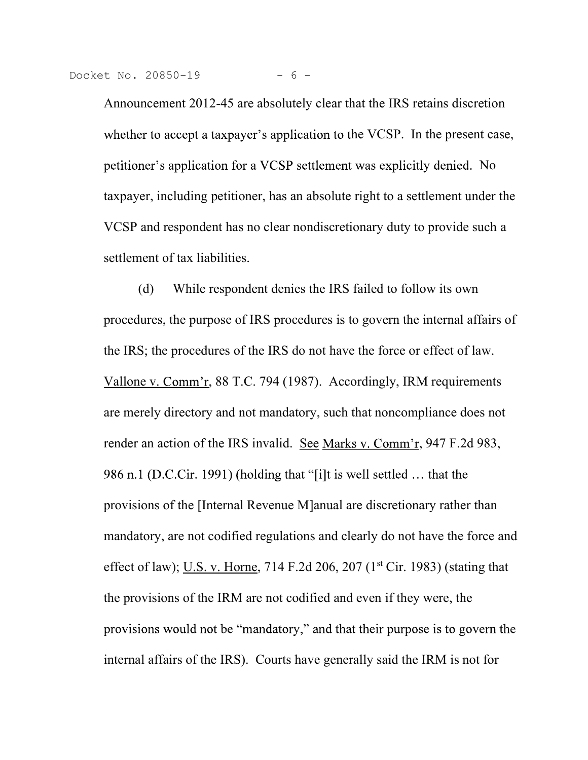Announcement 2012-45 are absolutely clear that the IRS retains discretion whether to accept a taxpayer's application to the VCSP. In the present case, petitioner's application for a VCSP settlement was explicitly denied. No taxpayer, including petitioner, has an absolute right to a settlement under the VCSP and respondent has no clear nondiscretionary duty to provide such a settlement of tax liabilities.

(d) While respondent denies the IRS failed to follow its own procedures, the purpose of IRS procedures is to govern the internal affairs of the IRS; the procedures of the IRS do not have the force or effect of law. Vallone v. Comm'r, 88 T.C. 794 (1987). Accordingly, IRM requirements are merely directory and not mandatory, such that noncompliance does not render an action of the IRS invalid. See Marks v. Comm'r, 947 F.2d 983, 986 n.1 (D.C.Cir. 1991) (holding that "[i]t is well settled ... that the provisions of the [Internal Revenue M]anual are discretionary rather than mandatory, are not codified regulations and clearly do not have the force and effect of law); U.S. v. Horne, 714 F.2d 206, 207 ( $1<sup>st</sup> Cir.$  1983) (stating that the provisions of the IRM are not codified and even if they were, the provisions would not be "mandatory," and that their purpose is to govern the internal affairs of the IRS). Courts have generally said the IRM is not for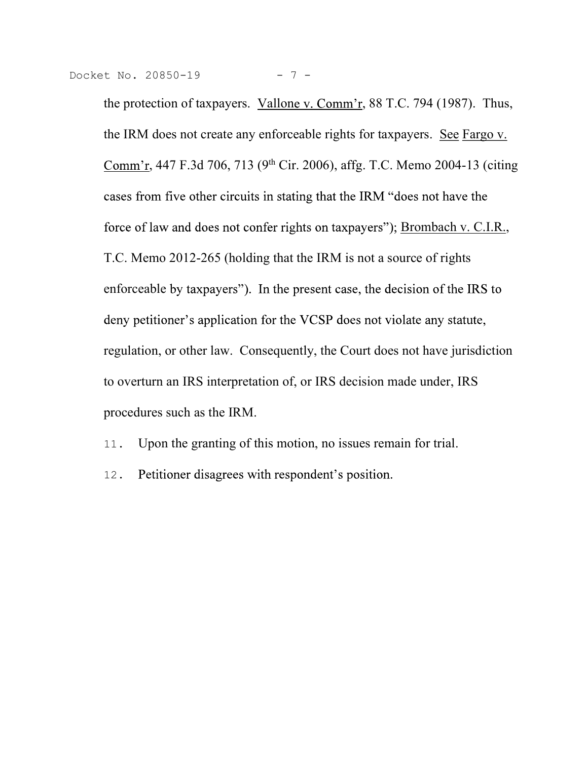Docket No. 20850-19 - 7 -

the protection of taxpayers. Vallone v. Comm'r, 88 T.C. 794 (1987). Thus, the IRM does not create any enforceable rights for taxpayers. See Fargo v. Comm'r, 447 F.3d 706, 713 (9<sup>th</sup> Cir. 2006), affg. T.C. Memo 2004-13 (citing cases from five other circuits in stating that the IRM "does not have the force of law and does not confer rights on taxpayers"); Brombach v. C.I.R., T.C. Memo 2012-265 (holding that the IRM is not a source of rights enforceable by taxpayers"). In the present case, the decision of the IRS to deny petitioner's application for the VCSP does not violate any statute, regulation, or other law. Consequently, the Court does not have jurisdiction to overturn an IRS interpretation of, or IRS decision made under, IRS procedures such as the IRM.

- 11. Upon the granting of this motion, no issues remain for trial.
- Petitioner disagrees with respondent's position. 12.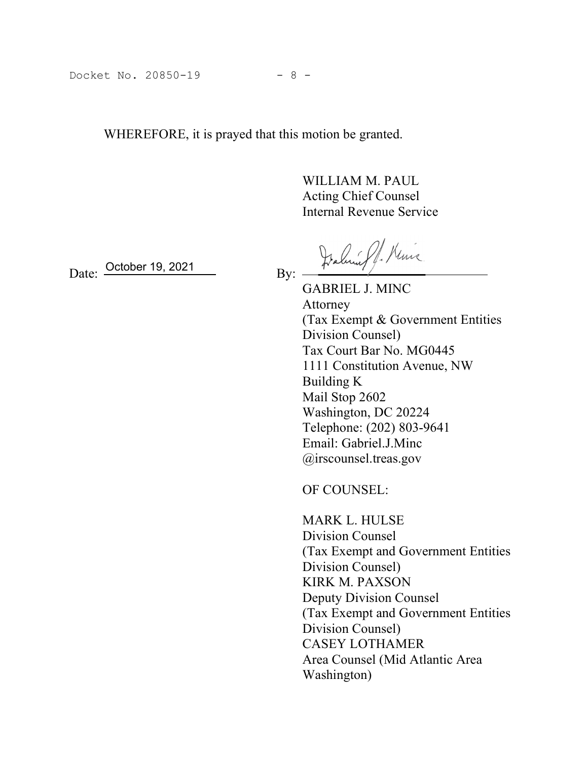Docket No. 20850-19 - 8 -<br>WHEREFORE, it is prayed that this motion be granted. WHEREFORE, it is prayed that this motion be granted.

> WILLIAM M. PAUL Acting Chief Counsel Internal Revenue Service

Date: October 19, 2021

Docket No. 20850-19<br>
- 8 -<br>
WHEREFORE, it is prayed that this motion be granted.<br>
WILLIAM M. PAUL<br>
Acting Chief Counsel<br>
Internal Revenue Service<br>
Date: <u>October 19, 2021</u><br>
By:  $\frac{\partial^2 u}{\partial t^2} = \frac{\partial^2 u}{\partial t^2} = \frac{\partial^2 u}{\partial t^2$ GABRIEL J. MINC Attorney (Tax Exempt & Government Entities Division Counsel) Tax Court Bar No. MG0445 1111 Constitution Avenue, NW Building K Mail Stop 2602 Washington, DC 20224 Telephone: (202) 803-9641 Acting Chief Counsel<br>
Internal Revenue Service<br>  $\frac{1}{2}$ <br>
GABRIEL J. MINC<br>
Attorney<br>
(Tax Exempt & Government Entities<br>
Division Counsel)<br>
Tax Court Bar No. MG0445<br>
1111 Constitution Avenue, NW<br>
Building K<br>
Washington, DC @irscounsel.treas.gov

OF COUNSEL:

MARK L. HULSE Division Counsel (Tax Exempt and Government Entities Division Counsel) KIRK M. PAXSON Deputy Division Counsel (Tax Exempt and Government Entities Division Counsel) CASEY LOTHAMER Area Counsel (Mid Atlantic Area Washington)